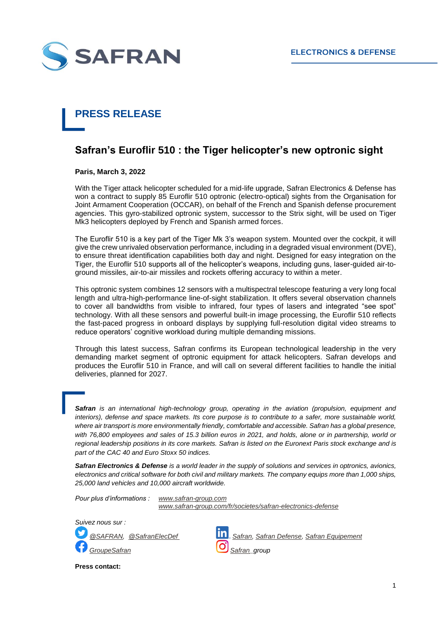

## **PRESS RELEASE**

## **Safran's Euroflir 510 : the Tiger helicopter's new optronic sight**

**Paris, March 3, 2022**

With the Tiger attack helicopter scheduled for a mid-life upgrade, Safran Electronics & Defense has won a contract to supply 85 Euroflir 510 optronic (electro-optical) sights from the Organisation for Joint Armament Cooperation (OCCAR), on behalf of the French and Spanish defense procurement agencies. This gyro-stabilized optronic system, successor to the Strix sight, will be used on Tiger Mk3 helicopters deployed by French and Spanish armed forces.

The Euroflir 510 is a key part of the Tiger Mk 3's weapon system. Mounted over the cockpit, it will give the crew unrivaled observation performance, including in a degraded visual environment (DVE), to ensure threat identification capabilities both day and night. Designed for easy integration on the Tiger, the Euroflir 510 supports all of the helicopter's weapons, including guns, laser-guided air-toground missiles, air-to-air missiles and rockets offering accuracy to within a meter.

This optronic system combines 12 sensors with a multispectral telescope featuring a very long focal length and ultra-high-performance line-of-sight stabilization. It offers several observation channels to cover all bandwidths from visible to infrared, four types of lasers and integrated "see spot" technology. With all these sensors and powerful built-in image processing, the Euroflir 510 reflects the fast-paced progress in onboard displays by supplying full-resolution digital video streams to reduce operators' cognitive workload during multiple demanding missions.

Through this latest success, Safran confirms its European technological leadership in the very demanding market segment of optronic equipment for attack helicopters. Safran develops and produces the Euroflir 510 in France, and will call on several different facilities to handle the initial deliveries, planned for 2027.

*Safran is an international high-technology group, operating in the aviation (propulsion, equipment and interiors), defense and space markets. Its core purpose is to contribute to a safer, more sustainable world,*  where air transport is more environmentally friendly, comfortable and accessible. Safran has a global presence, *with 76,800 employees and sales of 15.3 billion euros in 2021, and holds, alone or in partnership, world or regional leadership positions in its core markets. Safran is listed on the Euronext Paris stock exchange and is part of the CAC 40 and Euro Stoxx 50 indices.*

*Safran Electronics & Defense is a world leader in the supply of solutions and services in optronics, avionics, electronics and critical software for both civil and military markets. The company equips more than 1,000 ships, 25,000 land vehicles and 10,000 aircraft worldwide.*

*Pour plus d'informations : [www.safran-group.com](http://www.safran-group.com/)*

*[www.safran-group.com/fr/societes/safran-electronics-defense](http://www.safran-group.com/fr/societes/safran-electronics-defense)*



*[@SAFRAN,](https://twitter.com/SAFRAN) [@SafranElecDef](https://twitter.com/SafranElecDef) [Safran,](https://www.linkedin.com/company/safran/mycompany/) [Safran Defense,](https://www.linkedin.com/showcase/safran---defense/?viewAsMember=true) [Safran Equipement](https://www.linkedin.com/showcase/safran-equipment/?viewAsMember=true)*

**Press contact:**